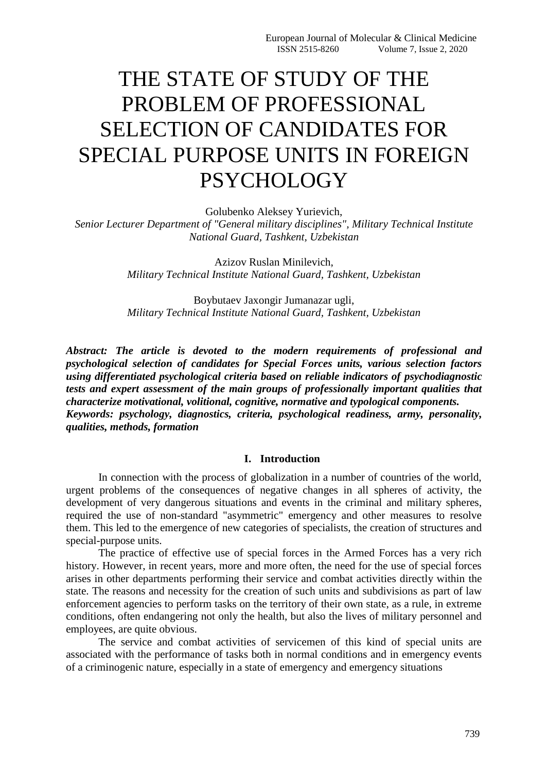# THE STATE OF STUDY OF THE PROBLEM OF PROFESSIONAL SELECTION OF CANDIDATES FOR SPECIAL PURPOSE UNITS IN FOREIGN **PSYCHOLOGY**

Golubenko Aleksey Yurievich,

*Senior Lecturer Department of "General military disciplines", Military Technical Institute National Guard, Tashkent, Uzbekistan*

> Azizov Ruslan Minilevich, *Military Technical Institute National Guard, Tashkent, Uzbekistan*

> Boybutaev Jaxongir Jumanazar ugli, *Military Technical Institute National Guard, Tashkent, Uzbekistan*

*Abstract: The article is devoted to the modern requirements of professional and psychological selection of candidates for Special Forces units, various selection factors using differentiated psychological criteria based on reliable indicators of psychodiagnostic tests and expert assessment of the main groups of professionally important qualities that characterize motivational, volitional, cognitive, normative and typological components. Keywords: psychology, diagnostics, criteria, psychological readiness, army, personality, qualities, methods, formation*

## **I. Introduction**

In connection with the process of globalization in a number of countries of the world, urgent problems of the consequences of negative changes in all spheres of activity, the development of very dangerous situations and events in the criminal and military spheres, required the use of non-standard "asymmetric" emergency and other measures to resolve them. This led to the emergence of new categories of specialists, the creation of structures and special-purpose units.

The practice of effective use of special forces in the Armed Forces has a very rich history. However, in recent years, more and more often, the need for the use of special forces arises in other departments performing their service and combat activities directly within the state. The reasons and necessity for the creation of such units and subdivisions as part of law enforcement agencies to perform tasks on the territory of their own state, as a rule, in extreme conditions, often endangering not only the health, but also the lives of military personnel and employees, are quite obvious.

The service and combat activities of servicemen of this kind of special units are associated with the performance of tasks both in normal conditions and in emergency events of a criminogenic nature, especially in a state of emergency and emergency situations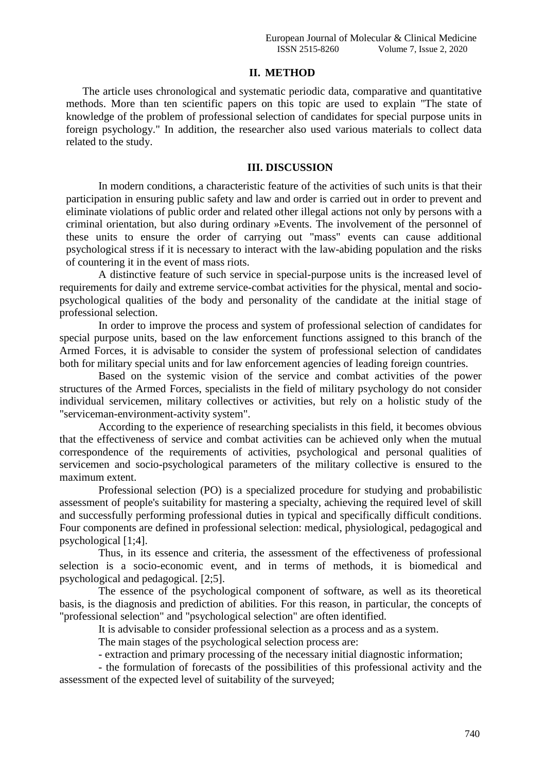## **II. METHOD**

The article uses chronological and systematic periodic data, comparative and quantitative methods. More than ten scientific papers on this topic are used to explain "The state of knowledge of the problem of professional selection of candidates for special purpose units in foreign psychology." In addition, the researcher also used various materials to collect data related to the study.

## **III. DISCUSSION**

In modern conditions, a characteristic feature of the activities of such units is that their participation in ensuring public safety and law and order is carried out in order to prevent and eliminate violations of public order and related other illegal actions not only by persons with a criminal orientation, but also during ordinary »Events. The involvement of the personnel of these units to ensure the order of carrying out "mass" events can cause additional psychological stress if it is necessary to interact with the law-abiding population and the risks of countering it in the event of mass riots.

A distinctive feature of such service in special-purpose units is the increased level of requirements for daily and extreme service-combat activities for the physical, mental and sociopsychological qualities of the body and personality of the candidate at the initial stage of professional selection.

In order to improve the process and system of professional selection of candidates for special purpose units, based on the law enforcement functions assigned to this branch of the Armed Forces, it is advisable to consider the system of professional selection of candidates both for military special units and for law enforcement agencies of leading foreign countries.

Based on the systemic vision of the service and combat activities of the power structures of the Armed Forces, specialists in the field of military psychology do not consider individual servicemen, military collectives or activities, but rely on a holistic study of the "serviceman-environment-activity system".

According to the experience of researching specialists in this field, it becomes obvious that the effectiveness of service and combat activities can be achieved only when the mutual correspondence of the requirements of activities, psychological and personal qualities of servicemen and socio-psychological parameters of the military collective is ensured to the maximum extent.

Professional selection (PO) is a specialized procedure for studying and probabilistic assessment of people's suitability for mastering a specialty, achieving the required level of skill and successfully performing professional duties in typical and specifically difficult conditions. Four components are defined in professional selection: medical, physiological, pedagogical and psychological [1;4].

Thus, in its essence and criteria, the assessment of the effectiveness of professional selection is a socio-economic event, and in terms of methods, it is biomedical and psychological and pedagogical. [2;5].

The essence of the psychological component of software, as well as its theoretical basis, is the diagnosis and prediction of abilities. For this reason, in particular, the concepts of "professional selection" and "psychological selection" are often identified.

It is advisable to consider professional selection as a process and as a system.

The main stages of the psychological selection process are:

- extraction and primary processing of the necessary initial diagnostic information;

- the formulation of forecasts of the possibilities of this professional activity and the assessment of the expected level of suitability of the surveyed;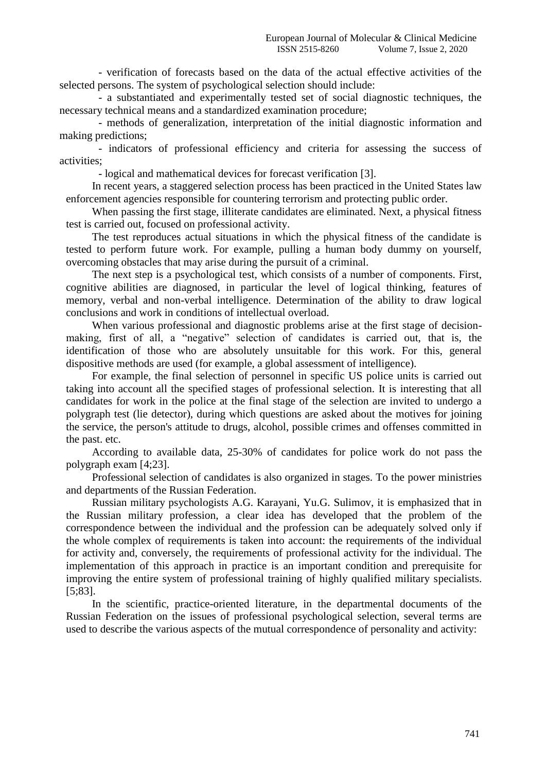- verification of forecasts based on the data of the actual effective activities of the selected persons. The system of psychological selection should include:

- a substantiated and experimentally tested set of social diagnostic techniques, the necessary technical means and a standardized examination procedure;

- methods of generalization, interpretation of the initial diagnostic information and making predictions;

- indicators of professional efficiency and criteria for assessing the success of activities;

- logical and mathematical devices for forecast verification [3].

In recent years, a staggered selection process has been practiced in the United States law enforcement agencies responsible for countering terrorism and protecting public order.

When passing the first stage, illiterate candidates are eliminated. Next, a physical fitness test is carried out, focused on professional activity.

The test reproduces actual situations in which the physical fitness of the candidate is tested to perform future work. For example, pulling a human body dummy on yourself, overcoming obstacles that may arise during the pursuit of a criminal.

The next step is a psychological test, which consists of a number of components. First, cognitive abilities are diagnosed, in particular the level of logical thinking, features of memory, verbal and non-verbal intelligence. Determination of the ability to draw logical conclusions and work in conditions of intellectual overload.

When various professional and diagnostic problems arise at the first stage of decisionmaking, first of all, a "negative" selection of candidates is carried out, that is, the identification of those who are absolutely unsuitable for this work. For this, general dispositive methods are used (for example, a global assessment of intelligence).

For example, the final selection of personnel in specific US police units is carried out taking into account all the specified stages of professional selection. It is interesting that all candidates for work in the police at the final stage of the selection are invited to undergo a polygraph test (lie detector), during which questions are asked about the motives for joining the service, the person's attitude to drugs, alcohol, possible crimes and offenses committed in the past. etc.

According to available data, 25-30% of candidates for police work do not pass the polygraph exam [4;23].

Professional selection of candidates is also organized in stages. To the power ministries and departments of the Russian Federation.

Russian military psychologists A.G. Karayani, Yu.G. Sulimov, it is emphasized that in the Russian military profession, a clear idea has developed that the problem of the correspondence between the individual and the profession can be adequately solved only if the whole complex of requirements is taken into account: the requirements of the individual for activity and, conversely, the requirements of professional activity for the individual. The implementation of this approach in practice is an important condition and prerequisite for improving the entire system of professional training of highly qualified military specialists. [5;83].

In the scientific, practice-oriented literature, in the departmental documents of the Russian Federation on the issues of professional psychological selection, several terms are used to describe the various aspects of the mutual correspondence of personality and activity: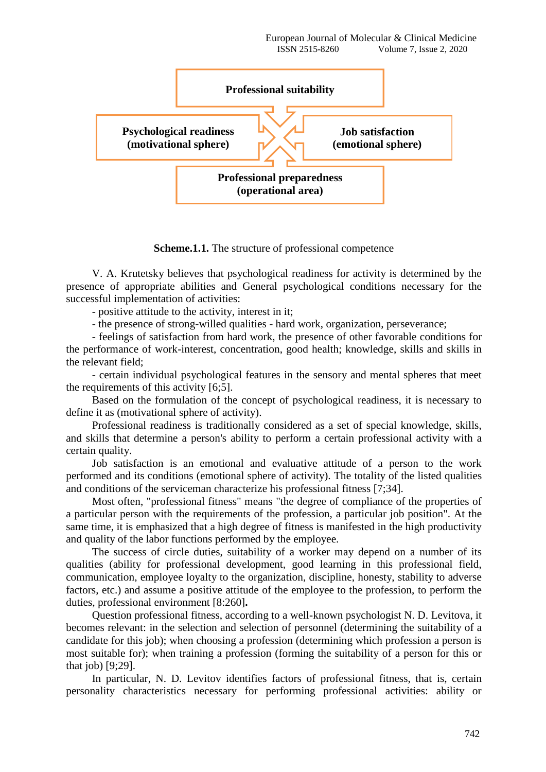

**Scheme.1.1.** The structure of professional competence

V. A. Krutetsky believes that psychological readiness for activity is determined by the presence of appropriate abilities and General psychological conditions necessary for the successful implementation of activities:

- positive attitude to the activity, interest in it;

- the presence of strong-willed qualities - hard work, organization, perseverance;

- feelings of satisfaction from hard work, the presence of other favorable conditions for the performance of work-interest, concentration, good health; knowledge, skills and skills in the relevant field;

- certain individual psychological features in the sensory and mental spheres that meet the requirements of this activity [6;5].

Based on the formulation of the concept of psychological readiness, it is necessary to define it as (motivational sphere of activity).

Professional readiness is traditionally considered as a set of special knowledge, skills, and skills that determine a person's ability to perform a certain professional activity with a certain quality.

Job satisfaction is an emotional and evaluative attitude of a person to the work performed and its conditions (emotional sphere of activity). The totality of the listed qualities and conditions of the serviceman characterize his professional fitness [7;34].

Most often, "professional fitness" means "the degree of compliance of the properties of a particular person with the requirements of the profession, a particular job position". At the same time, it is emphasized that a high degree of fitness is manifested in the high productivity and quality of the labor functions performed by the employee.

The success of circle duties, suitability of a worker may depend on a number of its qualities (ability for professional development, good learning in this professional field, communication, employee loyalty to the organization, discipline, honesty, stability to adverse factors, etc.) and assume a positive attitude of the employee to the profession, to perform the duties, professional environment [8:260]**.**

Question professional fitness, according to a well-known psychologist N. D. Levitova, it becomes relevant: in the selection and selection of personnel (determining the suitability of a candidate for this job); when choosing a profession (determining which profession a person is most suitable for); when training a profession (forming the suitability of a person for this or that job) [9;29].

In particular, N. D. Levitov identifies factors of professional fitness, that is, certain personality characteristics necessary for performing professional activities: ability or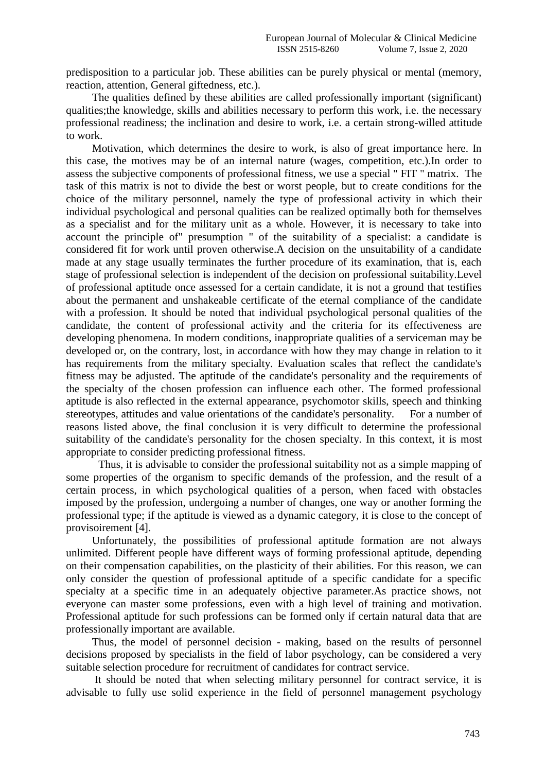predisposition to a particular job. These abilities can be purely physical or mental (memory, reaction, attention, General giftedness, etc.).

The qualities defined by these abilities are called professionally important (significant) qualities;the knowledge, skills and abilities necessary to perform this work, i.e. the necessary professional readiness; the inclination and desire to work, i.e. a certain strong-willed attitude to work.

Motivation, which determines the desire to work, is also of great importance here. In this case, the motives may be of an internal nature (wages, competition, etc.).In order to assess the subjective components of professional fitness, we use a special " FIT " matrix. The task of this matrix is not to divide the best or worst people, but to create conditions for the choice of the military personnel, namely the type of professional activity in which their individual psychological and personal qualities can be realized optimally both for themselves as a specialist and for the military unit as a whole. However, it is necessary to take into account the principle of" presumption " of the suitability of a specialist: a candidate is considered fit for work until proven otherwise.A decision on the unsuitability of a candidate made at any stage usually terminates the further procedure of its examination, that is, each stage of professional selection is independent of the decision on professional suitability.Level of professional aptitude once assessed for a certain candidate, it is not a ground that testifies about the permanent and unshakeable certificate of the eternal compliance of the candidate with a profession. It should be noted that individual psychological personal qualities of the candidate, the content of professional activity and the criteria for its effectiveness are developing phenomena. In modern conditions, inappropriate qualities of a serviceman may be developed or, on the contrary, lost, in accordance with how they may change in relation to it has requirements from the military specialty. Evaluation scales that reflect the candidate's fitness may be adjusted. The aptitude of the candidate's personality and the requirements of the specialty of the chosen profession can influence each other. The formed professional aptitude is also reflected in the external appearance, psychomotor skills, speech and thinking stereotypes, attitudes and value orientations of the candidate's personality. For a number of reasons listed above, the final conclusion it is very difficult to determine the professional suitability of the candidate's personality for the chosen specialty. In this context, it is most appropriate to consider predicting professional fitness.

Thus, it is advisable to consider the professional suitability not as a simple mapping of some properties of the organism to specific demands of the profession, and the result of a certain process, in which psychological qualities of a person, when faced with obstacles imposed by the profession, undergoing a number of changes, one way or another forming the professional type; if the aptitude is viewed as a dynamic category, it is close to the concept of provisoirement [4].

Unfortunately, the possibilities of professional aptitude formation are not always unlimited. Different people have different ways of forming professional aptitude, depending on their compensation capabilities, on the plasticity of their abilities. For this reason, we can only consider the question of professional aptitude of a specific candidate for a specific specialty at a specific time in an adequately objective parameter.As practice shows, not everyone can master some professions, even with a high level of training and motivation. Professional aptitude for such professions can be formed only if certain natural data that are professionally important are available.

Thus, the model of personnel decision - making, based on the results of personnel decisions proposed by specialists in the field of labor psychology, can be considered a very suitable selection procedure for recruitment of candidates for contract service.

It should be noted that when selecting military personnel for contract service, it is advisable to fully use solid experience in the field of personnel management psychology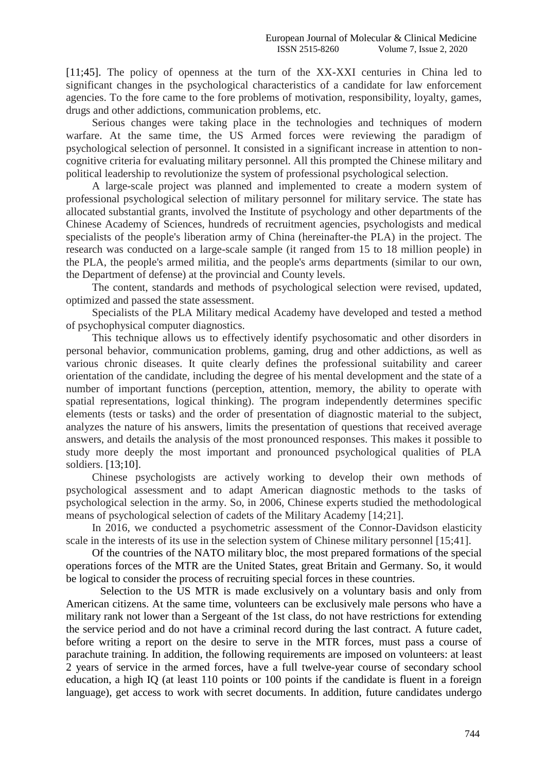[11;45]. The policy of openness at the turn of the XX-XXI centuries in China led to significant changes in the psychological characteristics of a candidate for law enforcement agencies. To the fore came to the fore problems of motivation, responsibility, loyalty, games, drugs and other addictions, communication problems, etc.

Serious changes were taking place in the technologies and techniques of modern warfare. At the same time, the US Armed forces were reviewing the paradigm of psychological selection of personnel. It consisted in a significant increase in attention to noncognitive criteria for evaluating military personnel. All this prompted the Chinese military and political leadership to revolutionize the system of professional psychological selection.

A large-scale project was planned and implemented to create a modern system of professional psychological selection of military personnel for military service. The state has allocated substantial grants, involved the Institute of psychology and other departments of the Chinese Academy of Sciences, hundreds of recruitment agencies, psychologists and medical specialists of the people's liberation army of China (hereinafter-the PLA) in the project. The research was conducted on a large-scale sample (it ranged from 15 to 18 million people) in the PLA, the people's armed militia, and the people's arms departments (similar to our own, the Department of defense) at the provincial and County levels.

The content, standards and methods of psychological selection were revised, updated, optimized and passed the state assessment.

Specialists of the PLA Military medical Academy have developed and tested a method of psychophysical computer diagnostics.

This technique allows us to effectively identify psychosomatic and other disorders in personal behavior, communication problems, gaming, drug and other addictions, as well as various chronic diseases. It quite clearly defines the professional suitability and career orientation of the candidate, including the degree of his mental development and the state of a number of important functions (perception, attention, memory, the ability to operate with spatial representations, logical thinking). The program independently determines specific elements (tests or tasks) and the order of presentation of diagnostic material to the subject, analyzes the nature of his answers, limits the presentation of questions that received average answers, and details the analysis of the most pronounced responses. This makes it possible to study more deeply the most important and pronounced psychological qualities of PLA soldiers. [13;10].

Chinese psychologists are actively working to develop their own methods of psychological assessment and to adapt American diagnostic methods to the tasks of psychological selection in the army. So, in 2006, Chinese experts studied the methodological means of psychological selection of cadets of the Military Academy [14;21].

In 2016, we conducted a psychometric assessment of the Connor-Davidson elasticity scale in the interests of its use in the selection system of Chinese military personnel [15;41].

Of the countries of the NATO military bloc, the most prepared formations of the special operations forces of the MTR are the United States, great Britain and Germany. So, it would be logical to consider the process of recruiting special forces in these countries.

 Selection to the US MTR is made exclusively on a voluntary basis and only from American citizens. At the same time, volunteers can be exclusively male persons who have a military rank not lower than a Sergeant of the 1st class, do not have restrictions for extending the service period and do not have a criminal record during the last contract. A future cadet, before writing a report on the desire to serve in the MTR forces, must pass a course of parachute training. In addition, the following requirements are imposed on volunteers: at least 2 years of service in the armed forces, have a full twelve-year course of secondary school education, a high IQ (at least 110 points or 100 points if the candidate is fluent in a foreign language), get access to work with secret documents. In addition, future candidates undergo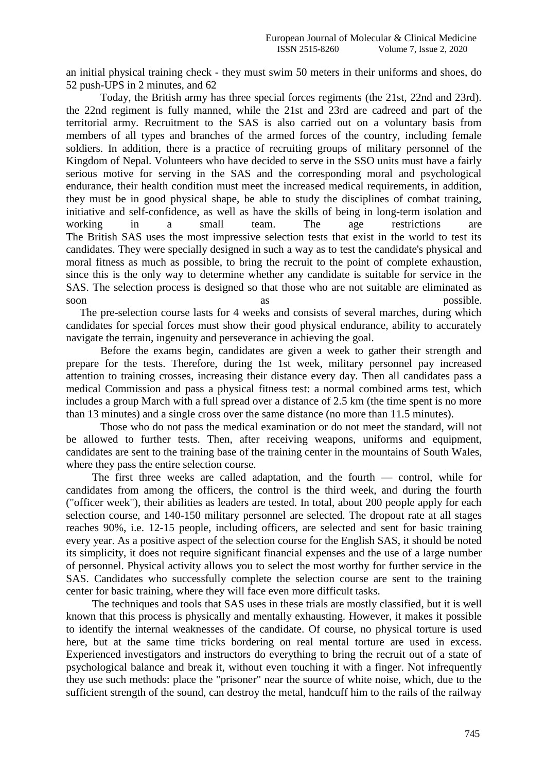an initial physical training check - they must swim 50 meters in their uniforms and shoes, do 52 push-UPS in 2 minutes, and 62

Today, the British army has three special forces regiments (the 21st, 22nd and 23rd). the 22nd regiment is fully manned, while the 21st and 23rd are cadreed and part of the territorial army. Recruitment to the SAS is also carried out on a voluntary basis from members of all types and branches of the armed forces of the country, including female soldiers. In addition, there is a practice of recruiting groups of military personnel of the Kingdom of Nepal. Volunteers who have decided to serve in the SSO units must have a fairly serious motive for serving in the SAS and the corresponding moral and psychological endurance, their health condition must meet the increased medical requirements, in addition, they must be in good physical shape, be able to study the disciplines of combat training, initiative and self-confidence, as well as have the skills of being in long-term isolation and working in a small team. The age restrictions are The British SAS uses the most impressive selection tests that exist in the world to test its candidates. They were specially designed in such a way as to test the candidate's physical and moral fitness as much as possible, to bring the recruit to the point of complete exhaustion, since this is the only way to determine whether any candidate is suitable for service in the SAS. The selection process is designed so that those who are not suitable are eliminated as soon as as possible.

 The pre-selection course lasts for 4 weeks and consists of several marches, during which candidates for special forces must show their good physical endurance, ability to accurately navigate the terrain, ingenuity and perseverance in achieving the goal.

Before the exams begin, candidates are given a week to gather their strength and prepare for the tests. Therefore, during the 1st week, military personnel pay increased attention to training crosses, increasing their distance every day. Then all candidates pass a medical Commission and pass a physical fitness test: a normal combined arms test, which includes a group March with a full spread over a distance of 2.5 km (the time spent is no more than 13 minutes) and a single cross over the same distance (no more than 11.5 minutes).

Those who do not pass the medical examination or do not meet the standard, will not be allowed to further tests. Then, after receiving weapons, uniforms and equipment, candidates are sent to the training base of the training center in the mountains of South Wales, where they pass the entire selection course.

The first three weeks are called adaptation, and the fourth — control, while for candidates from among the officers, the control is the third week, and during the fourth ("officer week"), their abilities as leaders are tested. In total, about 200 people apply for each selection course, and 140-150 military personnel are selected. The dropout rate at all stages reaches 90%, i.e. 12-15 people, including officers, are selected and sent for basic training every year. As a positive aspect of the selection course for the English SAS, it should be noted its simplicity, it does not require significant financial expenses and the use of a large number of personnel. Physical activity allows you to select the most worthy for further service in the SAS. Candidates who successfully complete the selection course are sent to the training center for basic training, where they will face even more difficult tasks.

The techniques and tools that SAS uses in these trials are mostly classified, but it is well known that this process is physically and mentally exhausting. However, it makes it possible to identify the internal weaknesses of the candidate. Of course, no physical torture is used here, but at the same time tricks bordering on real mental torture are used in excess. Experienced investigators and instructors do everything to bring the recruit out of a state of psychological balance and break it, without even touching it with a finger. Not infrequently they use such methods: place the "prisoner" near the source of white noise, which, due to the sufficient strength of the sound, can destroy the metal, handcuff him to the rails of the railway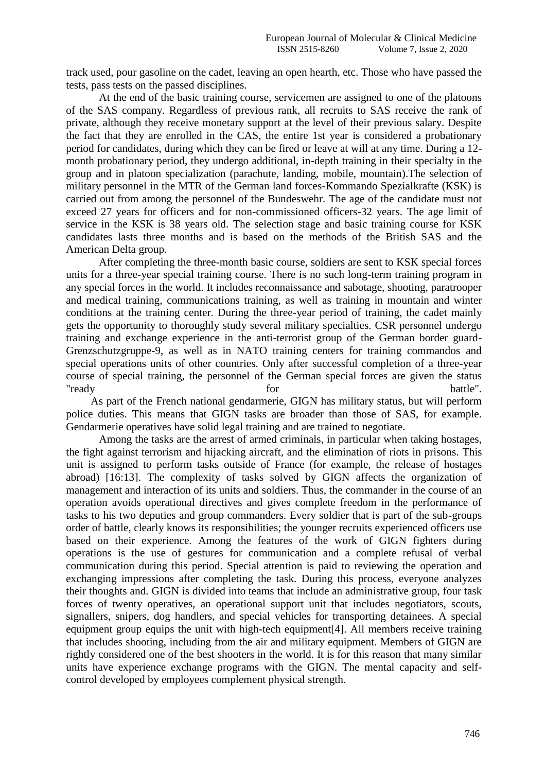track used, pour gasoline on the cadet, leaving an open hearth, etc. Those who have passed the tests, pass tests on the passed disciplines.

At the end of the basic training course, servicemen are assigned to one of the platoons of the SAS company. Regardless of previous rank, all recruits to SAS receive the rank of private, although they receive monetary support at the level of their previous salary. Despite the fact that they are enrolled in the CAS, the entire 1st year is considered a probationary period for candidates, during which they can be fired or leave at will at any time. During a 12 month probationary period, they undergo additional, in-depth training in their specialty in the group and in platoon specialization (parachute, landing, mobile, mountain).The selection of military personnel in the MTR of the German land forces-Kommando Spezialkrafte (KSK) is carried out from among the personnel of the Bundeswehr. The age of the candidate must not exceed 27 years for officers and for non-commissioned officers-32 years. The age limit of service in the KSK is 38 years old. The selection stage and basic training course for KSK candidates lasts three months and is based on the methods of the British SAS and the American Delta group.

After completing the three-month basic course, soldiers are sent to KSK special forces units for a three-year special training course. There is no such long-term training program in any special forces in the world. It includes reconnaissance and sabotage, shooting, paratrooper and medical training, communications training, as well as training in mountain and winter conditions at the training center. During the three-year period of training, the cadet mainly gets the opportunity to thoroughly study several military specialties. CSR personnel undergo training and exchange experience in the anti-terrorist group of the German border guard-Grenzschutzgruppe-9, as well as in NATO training centers for training commandos and special operations units of other countries. Only after successful completion of a three-year course of special training, the personnel of the German special forces are given the status "ready for battle".

 As part of the French national gendarmerie, GIGN has military status, but will perform police duties. This means that GIGN tasks are broader than those of SAS, for example. Gendarmerie operatives have solid legal training and are trained to negotiate.

Among the tasks are the arrest of armed criminals, in particular when taking hostages, the fight against terrorism and hijacking aircraft, and the elimination of riots in prisons. This unit is assigned to perform tasks outside of France (for example, the release of hostages abroad) [16:13]. The complexity of tasks solved by GIGN affects the organization of management and interaction of its units and soldiers. Thus, the commander in the course of an operation avoids operational directives and gives complete freedom in the performance of tasks to his two deputies and group commanders. Every soldier that is part of the sub-groups order of battle, clearly knows its responsibilities; the younger recruits experienced officers use based on their experience. Among the features of the work of GIGN fighters during operations is the use of gestures for communication and a complete refusal of verbal communication during this period. Special attention is paid to reviewing the operation and exchanging impressions after completing the task. During this process, everyone analyzes their thoughts and. GIGN is divided into teams that include an administrative group, four task forces of twenty operatives, an operational support unit that includes negotiators, scouts, signallers, snipers, dog handlers, and special vehicles for transporting detainees. A special equipment group equips the unit with high-tech equipment[4]. All members receive training that includes shooting, including from the air and military equipment. Members of GIGN are rightly considered one of the best shooters in the world. It is for this reason that many similar units have experience exchange programs with the GIGN. The mental capacity and selfcontrol developed by employees complement physical strength.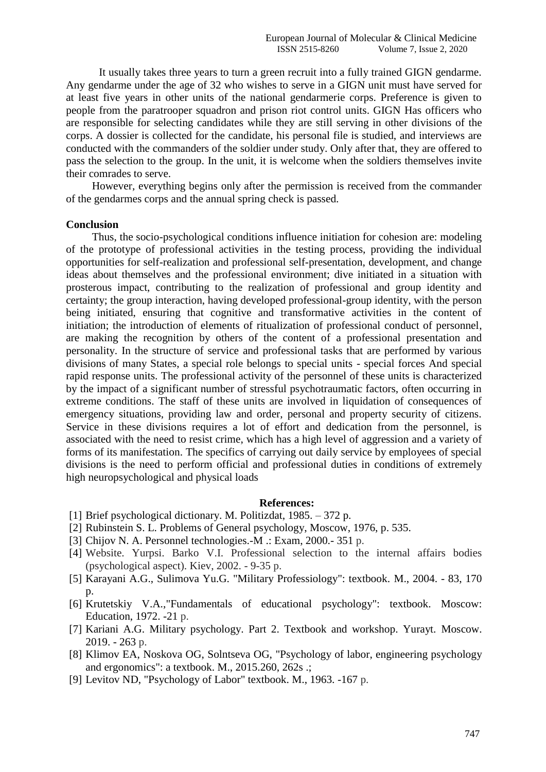It usually takes three years to turn a green recruit into a fully trained GIGN gendarme. Any gendarme under the age of 32 who wishes to serve in a GIGN unit must have served for at least five years in other units of the national gendarmerie corps. Preference is given to people from the paratrooper squadron and prison riot control units. GIGN Has officers who are responsible for selecting candidates while they are still serving in other divisions of the corps. A dossier is collected for the candidate, his personal file is studied, and interviews are conducted with the commanders of the soldier under study. Only after that, they are offered to pass the selection to the group. In the unit, it is welcome when the soldiers themselves invite their comrades to serve.

However, everything begins only after the permission is received from the commander of the gendarmes corps and the annual spring check is passed.

### **Conclusion**

Thus, the socio-psychological conditions influence initiation for cohesion are: modeling of the prototype of professional activities in the testing process, providing the individual opportunities for self-realization and professional self-presentation, development, and change ideas about themselves and the professional environment; dive initiated in a situation with prosterous impact, contributing to the realization of professional and group identity and certainty; the group interaction, having developed professional-group identity, with the person being initiated, ensuring that cognitive and transformative activities in the content of initiation; the introduction of elements of ritualization of professional conduct of personnel, are making the recognition by others of the content of a professional presentation and personality. In the structure of service and professional tasks that are performed by various divisions of many States, a special role belongs to special units - special forces And special rapid response units. The professional activity of the personnel of these units is characterized by the impact of a significant number of stressful psychotraumatic factors, often occurring in extreme conditions. The staff of these units are involved in liquidation of consequences of emergency situations, providing law and order, personal and property security of citizens. Service in these divisions requires a lot of effort and dedication from the personnel, is associated with the need to resist crime, which has a high level of aggression and a variety of forms of its manifestation. The specifics of carrying out daily service by employees of special divisions is the need to perform official and professional duties in conditions of extremely high neuropsychological and physical loads

#### **References:**

- [1] Brief psychological dictionary. M. Politizdat, 1985. 372 p.
- [2] Rubinstein S. L. Problems of General psychology, Moscow, 1976, p. 535.
- [3] Chijov N. A. Personnel technologies.-M .: Exam, 2000.- 351 p.
- [4] Website. Yurpsi. Barko V.I. Professional selection to the internal affairs bodies (psychological aspect). Kiev, 2002. - 9-35 p.
- [5] Karayani A.G., Sulimova Yu.G. "Military Professiology": textbook. M., 2004. 83, 170 p.
- [6] Krutetskiy V.A.,"Fundamentals of educational psychology": textbook. Moscow: Education, 1972. -21 p.
- [7] Kariani A.G. Military psychology. Part 2. Textbook and workshop. Yurayt. Moscow. 2019. - 263 p.
- [8] Klimov EA, Noskova OG, Solntseva OG, "Psychology of labor, engineering psychology and ergonomics": a textbook. M., 2015.260, 262s .;
- [9] Levitov ND, "Psychology of Labor" textbook. M., 1963. -167 p.